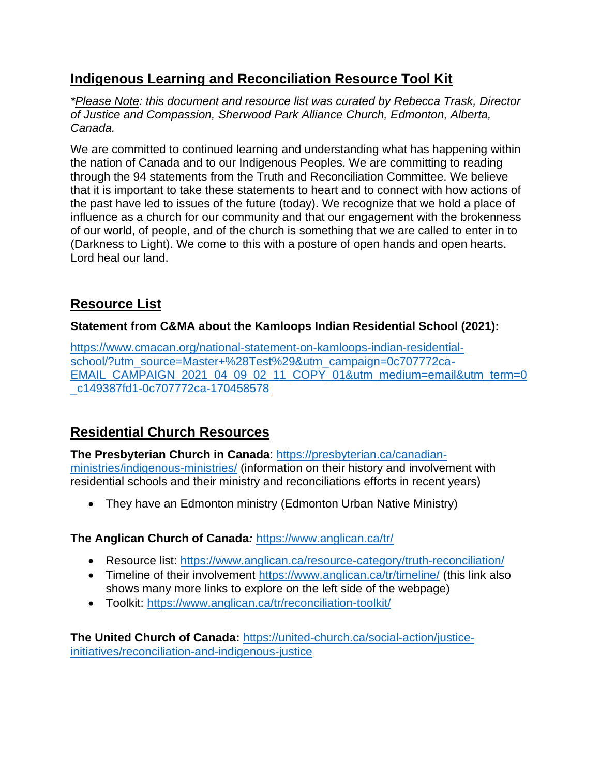## **Indigenous Learning and Reconciliation Resource Tool Kit**

*\*Please Note: this document and resource list was curated by Rebecca Trask, Director of Justice and Compassion, Sherwood Park Alliance Church, Edmonton, Alberta, Canada.* 

We are committed to continued learning and understanding what has happening within the nation of Canada and to our Indigenous Peoples. We are committing to reading through the 94 statements from the Truth and Reconciliation Committee. We believe that it is important to take these statements to heart and to connect with how actions of the past have led to issues of the future (today). We recognize that we hold a place of influence as a church for our community and that our engagement with the brokenness of our world, of people, and of the church is something that we are called to enter in to (Darkness to Light). We come to this with a posture of open hands and open hearts. Lord heal our land.

# **Resource List**

### **Statement from C&MA about the Kamloops Indian Residential School (2021):**

[https://www.cmacan.org/national-statement-on-kamloops-indian-residential](https://www.cmacan.org/national-statement-on-kamloops-indian-residential-school/?utm_source=Master+%28Test%29&utm_campaign=0c707772ca-EMAIL_CAMPAIGN_2021_04_09_02_11_COPY_01&utm_medium=email&utm_term=0_c149387fd1-0c707772ca-170458578)[school/?utm\\_source=Master+%28Test%29&utm\\_campaign=0c707772ca-](https://www.cmacan.org/national-statement-on-kamloops-indian-residential-school/?utm_source=Master+%28Test%29&utm_campaign=0c707772ca-EMAIL_CAMPAIGN_2021_04_09_02_11_COPY_01&utm_medium=email&utm_term=0_c149387fd1-0c707772ca-170458578)[EMAIL\\_CAMPAIGN\\_2021\\_04\\_09\\_02\\_11\\_COPY\\_01&utm\\_medium=email&utm\\_term=0](https://www.cmacan.org/national-statement-on-kamloops-indian-residential-school/?utm_source=Master+%28Test%29&utm_campaign=0c707772ca-EMAIL_CAMPAIGN_2021_04_09_02_11_COPY_01&utm_medium=email&utm_term=0_c149387fd1-0c707772ca-170458578) [\\_c149387fd1-0c707772ca-170458578](https://www.cmacan.org/national-statement-on-kamloops-indian-residential-school/?utm_source=Master+%28Test%29&utm_campaign=0c707772ca-EMAIL_CAMPAIGN_2021_04_09_02_11_COPY_01&utm_medium=email&utm_term=0_c149387fd1-0c707772ca-170458578)

# **Residential Church Resources**

**The Presbyterian Church in Canada**: [https://presbyterian.ca/canadian](https://presbyterian.ca/canadian-ministries/indigenous-ministries/)[ministries/indigenous-ministries/](https://presbyterian.ca/canadian-ministries/indigenous-ministries/) (information on their history and involvement with residential schools and their ministry and reconciliations efforts in recent years)

• They have an Edmonton ministry (Edmonton Urban Native Ministry)

### **The Anglican Church of Canada***:* <https://www.anglican.ca/tr/>

- Resource list:<https://www.anglican.ca/resource-category/truth-reconciliation/>
- Timeline of their involvement<https://www.anglican.ca/tr/timeline/> (this link also shows many more links to explore on the left side of the webpage)
- Toolkit:<https://www.anglican.ca/tr/reconciliation-toolkit/>

**The United Church of Canada:** [https://united-church.ca/social-action/justice](https://united-church.ca/social-action/justice-initiatives/reconciliation-and-indigenous-justice)[initiatives/reconciliation-and-indigenous-justice](https://united-church.ca/social-action/justice-initiatives/reconciliation-and-indigenous-justice)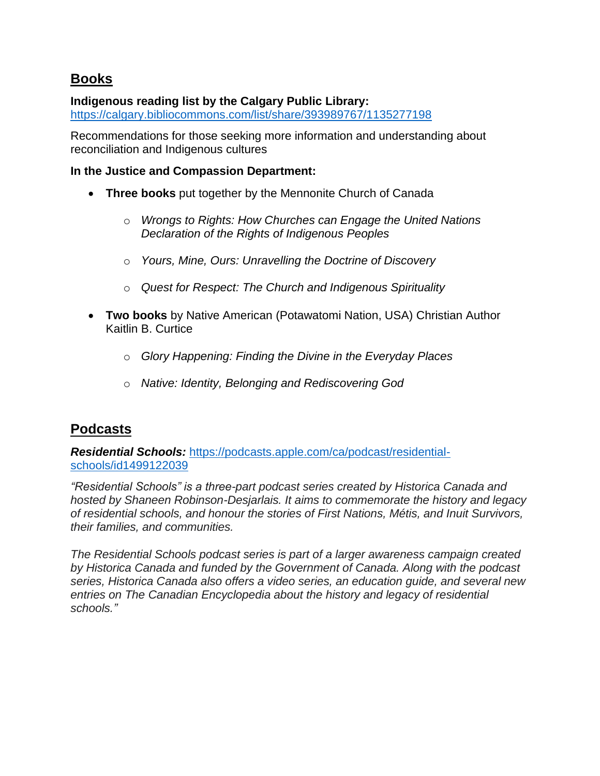### **Books**

#### **Indigenous reading list by the Calgary Public Library:**

<https://calgary.bibliocommons.com/list/share/393989767/1135277198>

Recommendations for those seeking more information and understanding about reconciliation and Indigenous cultures

#### **In the Justice and Compassion Department:**

- **Three books** put together by the Mennonite Church of Canada
	- o *Wrongs to Rights: How Churches can Engage the United Nations Declaration of the Rights of Indigenous Peoples*
	- o *Yours, Mine, Ours: Unravelling the Doctrine of Discovery*
	- o *Quest for Respect: The Church and Indigenous Spirituality*
- **Two books** by Native American (Potawatomi Nation, USA) Christian Author Kaitlin B. Curtice
	- o *Glory Happening: Finding the Divine in the Everyday Places*
	- o *Native: Identity, Belonging and Rediscovering God*

## **Podcasts**

*Residential Schools:* [https://podcasts.apple.com/ca/podcast/residential](https://podcasts.apple.com/ca/podcast/residential-schools/id1499122039)[schools/id1499122039](https://podcasts.apple.com/ca/podcast/residential-schools/id1499122039)

*"Residential Schools" is a three-part podcast series created by Historica Canada and hosted by Shaneen Robinson-Desjarlais. It aims to commemorate the history and legacy of residential schools, and honour the stories of First Nations, Métis, and Inuit Survivors, their families, and communities.*

*The Residential Schools podcast series is part of a larger awareness campaign created by Historica Canada and funded by the Government of Canada. Along with the podcast series, Historica Canada also offers a video series, an education guide, and several new entries on The Canadian Encyclopedia about the history and legacy of residential schools."*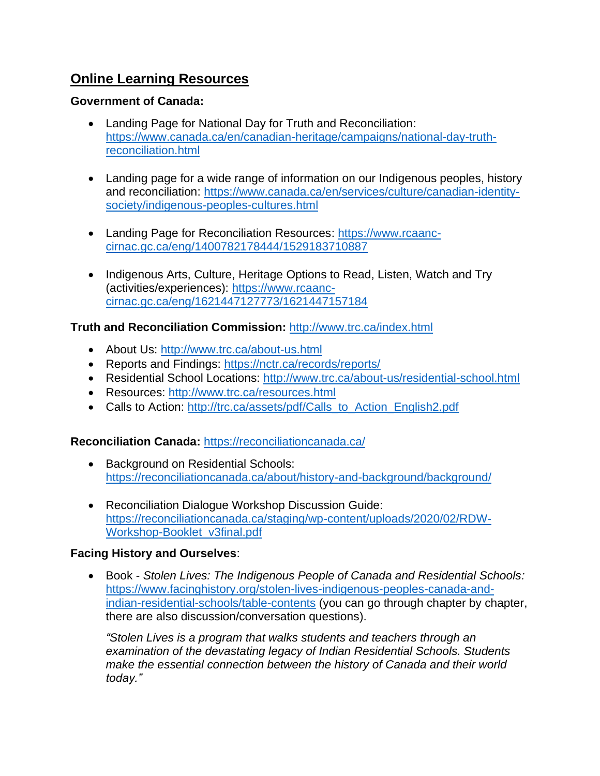## **Online Learning Resources**

#### **Government of Canada:**

- Landing Page for National Day for Truth and Reconciliation: [https://www.canada.ca/en/canadian-heritage/campaigns/national-day-truth](https://www.canada.ca/en/canadian-heritage/campaigns/national-day-truth-reconciliation.html)[reconciliation.html](https://www.canada.ca/en/canadian-heritage/campaigns/national-day-truth-reconciliation.html)
- Landing page for a wide range of information on our Indigenous peoples, history and reconciliation: [https://www.canada.ca/en/services/culture/canadian-identity](https://www.canada.ca/en/services/culture/canadian-identity-society/indigenous-peoples-cultures.html)[society/indigenous-peoples-cultures.html](https://www.canada.ca/en/services/culture/canadian-identity-society/indigenous-peoples-cultures.html)
- Landing Page for Reconciliation Resources: [https://www.rcaanc](https://www.rcaanc-cirnac.gc.ca/eng/1400782178444/1529183710887)[cirnac.gc.ca/eng/1400782178444/1529183710887](https://www.rcaanc-cirnac.gc.ca/eng/1400782178444/1529183710887)
- Indigenous Arts, Culture, Heritage Options to Read, Listen, Watch and Try (activities/experiences): [https://www.rcaanc](https://www.rcaanc-cirnac.gc.ca/eng/1621447127773/1621447157184)[cirnac.gc.ca/eng/1621447127773/1621447157184](https://www.rcaanc-cirnac.gc.ca/eng/1621447127773/1621447157184)

#### **Truth and Reconciliation Commission:** <http://www.trc.ca/index.html>

- About Us:<http://www.trc.ca/about-us.html>
- Reports and Findings:<https://nctr.ca/records/reports/>
- Residential School Locations:<http://www.trc.ca/about-us/residential-school.html>
- Resources:<http://www.trc.ca/resources.html>
- Calls to Action: [http://trc.ca/assets/pdf/Calls\\_to\\_Action\\_English2.pdf](http://trc.ca/assets/pdf/Calls_to_Action_English2.pdf)

#### **Reconciliation Canada:** <https://reconciliationcanada.ca/>

- Background on Residential Schools: <https://reconciliationcanada.ca/about/history-and-background/background/>
- Reconciliation Dialogue Workshop Discussion Guide: [https://reconciliationcanada.ca/staging/wp-content/uploads/2020/02/RDW-](https://reconciliationcanada.ca/staging/wp-content/uploads/2020/02/RDW-Workshop-Booklet_v3final.pdf)[Workshop-Booklet\\_v3final.pdf](https://reconciliationcanada.ca/staging/wp-content/uploads/2020/02/RDW-Workshop-Booklet_v3final.pdf)

#### **Facing History and Ourselves**:

• Book - *Stolen Lives: The Indigenous People of Canada and Residential Schools:* [https://www.facinghistory.org/stolen-lives-indigenous-peoples-canada-and](https://www.facinghistory.org/stolen-lives-indigenous-peoples-canada-and-indian-residential-schools/table-contents)[indian-residential-schools/table-contents](https://www.facinghistory.org/stolen-lives-indigenous-peoples-canada-and-indian-residential-schools/table-contents) (you can go through chapter by chapter, there are also discussion/conversation questions).

*"Stolen Lives is a program that walks students and teachers through an examination of the devastating legacy of Indian Residential Schools. Students make the essential connection between the history of Canada and their world today."*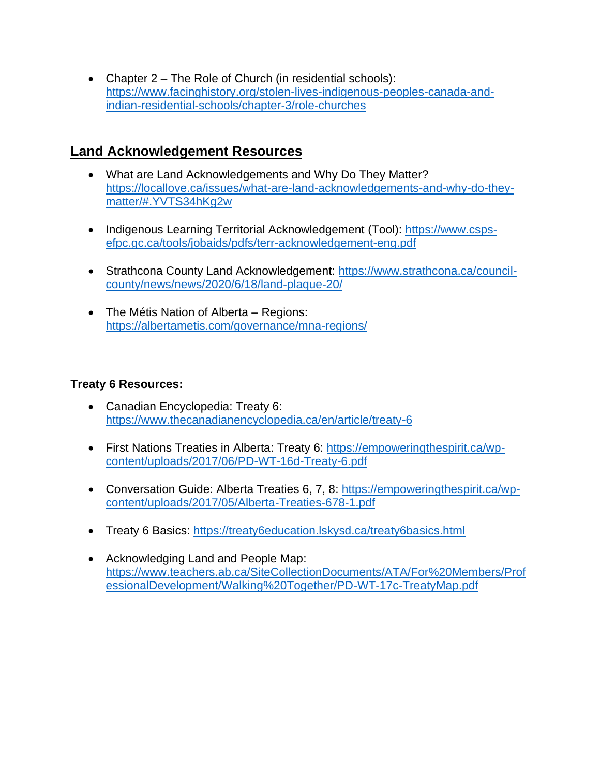• Chapter 2 – The Role of Church (in residential schools): [https://www.facinghistory.org/stolen-lives-indigenous-peoples-canada-and](https://www.facinghistory.org/stolen-lives-indigenous-peoples-canada-and-indian-residential-schools/chapter-3/role-churches)[indian-residential-schools/chapter-3/role-churches](https://www.facinghistory.org/stolen-lives-indigenous-peoples-canada-and-indian-residential-schools/chapter-3/role-churches)

### **Land Acknowledgement Resources**

- What are Land Acknowledgements and Why Do They Matter? [https://locallove.ca/issues/what-are-land-acknowledgements-and-why-do-they](https://locallove.ca/issues/what-are-land-acknowledgements-and-why-do-they-matter/#.YVTS34hKg2w)[matter/#.YVTS34hKg2w](https://locallove.ca/issues/what-are-land-acknowledgements-and-why-do-they-matter/#.YVTS34hKg2w)
- Indigenous Learning Territorial Acknowledgement (Tool): [https://www.csps](https://www.csps-efpc.gc.ca/tools/jobaids/pdfs/terr-acknowledgement-eng.pdf)[efpc.gc.ca/tools/jobaids/pdfs/terr-acknowledgement-eng.pdf](https://www.csps-efpc.gc.ca/tools/jobaids/pdfs/terr-acknowledgement-eng.pdf)
- Strathcona County Land Acknowledgement: [https://www.strathcona.ca/council](https://www.strathcona.ca/council-county/news/news/2020/6/18/land-plaque-20/)[county/news/news/2020/6/18/land-plaque-20/](https://www.strathcona.ca/council-county/news/news/2020/6/18/land-plaque-20/)
- The Métis Nation of Alberta Regions: <https://albertametis.com/governance/mna-regions/>

#### **Treaty 6 Resources:**

- Canadian Encyclopedia: Treaty 6: <https://www.thecanadianencyclopedia.ca/en/article/treaty-6>
- First Nations Treaties in Alberta: Treaty 6: [https://empoweringthespirit.ca/wp](https://empoweringthespirit.ca/wp-content/uploads/2017/06/PD-WT-16d-Treaty-6.pdf)[content/uploads/2017/06/PD-WT-16d-Treaty-6.pdf](https://empoweringthespirit.ca/wp-content/uploads/2017/06/PD-WT-16d-Treaty-6.pdf)
- Conversation Guide: Alberta Treaties 6, 7, 8: [https://empoweringthespirit.ca/wp](https://empoweringthespirit.ca/wp-content/uploads/2017/05/Alberta-Treaties-678-1.pdf)[content/uploads/2017/05/Alberta-Treaties-678-1.pdf](https://empoweringthespirit.ca/wp-content/uploads/2017/05/Alberta-Treaties-678-1.pdf)
- Treaty 6 Basics:<https://treaty6education.lskysd.ca/treaty6basics.html>
- Acknowledging Land and People Map: [https://www.teachers.ab.ca/SiteCollectionDocuments/ATA/For%20Members/Prof](https://www.teachers.ab.ca/SiteCollectionDocuments/ATA/For%20Members/ProfessionalDevelopment/Walking%20Together/PD-WT-17c-TreatyMap.pdf) [essionalDevelopment/Walking%20Together/PD-WT-17c-TreatyMap.pdf](https://www.teachers.ab.ca/SiteCollectionDocuments/ATA/For%20Members/ProfessionalDevelopment/Walking%20Together/PD-WT-17c-TreatyMap.pdf)